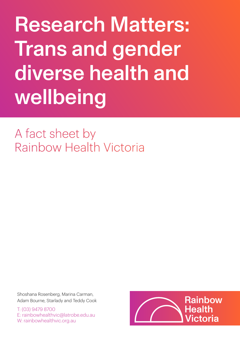# Research Matters: Trans and gender diverse health and wellbeing

A fact sheet by Rainbow Health Victoria

Shoshana Rosenberg, Marina Carman, Adam Bourne, Starlady and Teddy Cook

T: (03) 9479 8700 E: rainbowhealthvic@latrobe.edu.au W: rainbowhealthvic.org.au

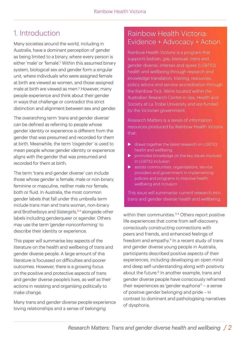## 1. Introduction

Many societies around the world, including in Australia, have a dominant perception of gender as being limited to a binary, where every person is either 'male' or 'female'.<sup>1</sup> Within this assumed binary system, biological sex and gender form a singular unit, where individuals who were assigned female at birth are viewed as women, and those assigned male at birth are viewed as men.<sup>2</sup> However, many people experience and think about their gender in ways that challenge or contradict this strict distinction and alignment between sex and gender.

The overarching term 'trans and gender diverse' can be defined as referring to people whose gender identity or experience is different from the gender that was presumed and recorded for them at birth. Meanwhile, the term 'cisgender' is used to mean people whose gender identity or experience aligns with the gender that was presumed and recorded for them at birth.

The term 'trans and gender diverse' can include those whose gender is female, male or non-binary, feminine or masculine, neither male nor female, both or fluid. In Australia, the most common gender labels that fall under this umbrella term include trans man and trans woman, non-binary and Brotherboys and Sistergirls,<sup>3,4</sup> alongside other labels including genderqueer or agender. Others may use the term 'gender-nonconforming' to describe their identity or experience.

This paper will summarise key aspects of the literature on the health and wellbeing of trans and gender diverse people. A large amount of this literature is focussed on difficulties and poorer outcomes. However, there is a growing focus on the positive and protective aspects of trans and gender diverse people's lives, as well as their actions in resisting and organising politically to make change.

Many trans and gender diverse people experience loving relationships and a sense of belonging

#### Rainbow Health Victoria: Evidence + Advocacy + Action

Rainbow Health Victoria is a program that supports lesbian, gay, bisexual, trans and gender diverse, intersex and queer (LGBTIQ) health and wellbeing through research and knowledge translation, training, resources, policy advice and service accreditation through the Rainbow Tick. We're located within the Australian Research Centre in Sex, Health and Society at La Trobe University and are funded by the Victorian government.

Research Matters is a series of information resources produced by Rainbow Health Victoria that:

- $\triangleright$  draws together the latest research on LGBTIQ health and wellbeing
- $\triangleright$  promotes knowledge on the key issues involved in LGBTIQ inclusion
- $\blacktriangleright$  assists communities, organisations, service providers and government in implementing policies and programs to improve health, wellbeing and inclusion

This issue will summarise current research into trans and gender diverse health and wellbeing.

within their communities.<sup>3,4</sup> Others report positive life experiences that come from self-discovery, consciously constructing connections with peers and friends, and enhanced feelings of freedom and empathy. $5$  In a recent study of trans and gender diverse young people in Australia, participants described positive aspects of their experiences, including developing an open mind and deep self-understanding along with positivity about the future.<sup>6</sup> In another example, trans and gender diverse people have consciously reframed their experiences as 'gender euphoria'<sup>7</sup> - a sense of positive gender belonging and pride – in contrast to dominant and pathologising narratives of dysphoria.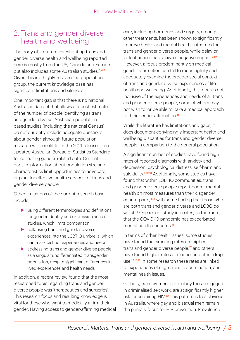#### 2. Trans and gender diverse health and wellbeing

The body of literature investigating trans and gender diverse health and wellbeing reported here is mostly from the US, Canada and Europe, but also includes some Australian studies.3,4,6 Given this is a highly-researched population group, the current knowledge base has significant limitations and silences.

One important gap is that there is no national Australian dataset that allows a robust estimate of the number of people identifying as trans and gender diverse. Australian populationbased studies (including the national Census) do not currently include adequate questions about gender, although future population research will benefit from the 2021 release of an updated Australian Bureau of Statistics Standard for collecting gender-related data. Current gaps in information about population size and characteristics limit opportunities to advocate, or plan, for effective health services for trans and gender diverse people.

Other limitations of the current research base include:

- $\blacktriangleright$  using different terminologies and definitions for gender identity and expression across studies, which limits comparison
- $\blacktriangleright$  collapsing trans and gender diverse experiences into the LGBTIQ umbrella, which can mask distinct experiences and needs
- $\blacktriangleright$  addressing trans and gender diverse people as a singular undifferentiated 'transgender' population, despite significant differences in lived experiences and health needs

In addition, a recent review found that the most researched topic regarding trans and gender diverse people was 'therapeutics and surgeries'<sup>8</sup> This research focus and resulting knowledge is vital for those who want to medically affirm their gender. Having access to gender-affirming medical care, including hormones and surgery, amongst other treatments, has been shown to significantly improve health and mental health outcomes for trans and gender diverse people, while delay or lack of access has shown a negative impact.<sup>9,10</sup> However, a focus predominantly on medical gender affirmation can fail to meaningfully and adequately examine the broader social context of trans and gender diverse experiences of life, health and wellbeing. Additionally, this focus is not inclusive of the experiences and needs of all trans and gender diverse people, some of whom may not wish to, or be able to, take a medical approach to their gender affirmation.<sup>11</sup>

While the literature has limitations and gaps, it does document convincingly important health and wellbeing disparities for trans and gender diverse people in comparison to the general population.

A significant number of studies have found high rates of reported diagnosis with anxiety and depression, psychological distress, self-harm and suicidality.<sup>4,12,13</sup> Additionally, some studies have found that within LGBTIQ communities, trans and gender diverse people report poorer mental health on most measures than their cisgender counterparts,<sup>4,14</sup> with some finding that those who are both trans and gender diverse and LGBQ do worst.<sup>15</sup> One recent study indicates, furthermore, that the COVID-19 pandemic has exacerbated mental health concerns.<sup>16</sup>

In terms of other health issues, some studies have found that smoking rates are higher for trans and gender diverse people,<sup>17</sup> and others have found higher rates of alcohol and other drug use.12,18,19 In some research these rates are linked to experiences of stigma and discrimination, and mental health issues.

Globally, trans women, particularly those engaged in criminalised sex work, are at significantly higher risk for acquiring HIV.20 This pattern is less obvious in Australia, where gay and bisexual men remain the primary focus for HIV prevention. Prevalence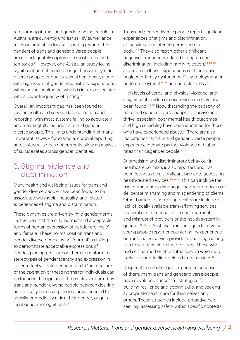rates amongst trans and gender diverse people in Australia are currently unclear as HIV surveillance relies on notifiable disease reporting, where the genders of trans and gender diverse people are not adequately captured in most states and territories.<sup>21</sup> However, one Australian study found significant unmet need amongst trans and gender diverse people for quality sexual healthcare, along with high levels of gender insensitivity experienced within sexual healthcare, which is in turn associated with a lower frequency of testing.<sup>3</sup>

Overall, an important gap has been found to exist in health and service data collection and reporting, with most systems failing to accurately and meaningfully include trans and gender diverse people. This limits understanding of many important issues – for example, coronial reporting across Australia does not currently allow an analysis of suicide rates across gender identities.

#### 3. Stigma, violence and discrimination

Many health and wellbeing issues for trans and gender diverse people have been found to be associated with social inequality, and related experiences of stigma and discrimination.

These dynamics are driven by rigid gender norms, i.e. the idea that the only 'normal' and acceptable forms of human expression of gender are 'male' and 'female'. These norms position trans and gender diverse people as not 'normal', as failing to demonstrate acceptable expressions of gender, placing pressure on them to conform to stereotypes of gender identity and expression in order to feel validated or accepted. One measure of the operation of these norms for individuals can be found in the significant time delays reported by trans and gender diverse people between desiring and actually accessing the resources needed to socially or medically affirm their gender, or gain legal gender recognition.<sup>3,22</sup>

Trans and gender diverse people report significant experiences of stigma and discrimination, along with a heightened perceived risk of both.4,23 They also report other significant negative experiences related to stigma and discrimination, including family rejection,<sup>24,25,26</sup> adverse childhood experiences such as abuse, neglect or family dysfunction,<sup>27</sup> unemployment or underemployment<sup>28,29</sup> and homelessness.<sup>30</sup>

High levels of verbal and physical violence, and a significant burden of sexual violence have also been found.<sup>3,4,31</sup> Notwithstanding the capacity of trans and gender diverse people to survive and thrive, especially poor mental health outcomes and high suicidality have been identified for those who have experienced abuse.<sup>32</sup> There are also indications that trans and gender diverse people experience intimate partner violence at higher rates than cisgender people.<sup>33,34</sup>

Stigmatising and discriminatory behaviour in healthcare contexts is also reported, and has been found to be a significant barrier to accessing health-related services.<sup>35,36,37</sup> This can include the use of transphobic language, incorrect pronouns or deliberate misnaming and misgendering of clients. Other barriers to accessing healthcare include a lack of locally available trans-affirming services, financial cost of consultation and treatment, and mistrust of providers or the health system in general.<sup>38,39</sup> In Australia, trans and gender diverse young people report encountering inexperienced or transphobic service providers, and long waiting lists to see trans-affirming providers. Those who had self-harmed or attempted suicide were more likely to report feeling isolated from services.<sup>6</sup>

Despite these challenges, or perhaps because of them, many trans and gender diverse people have developed successful strategies for building resilience and coping skills, and seeking appropriate healthcare for themselves and others. These strategies include proactive helpseeking, assessing safety within specific contexts,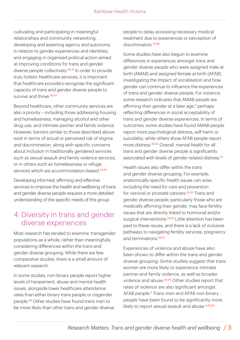cultivating and participating in meaningful relationships and community networking, developing and asserting agency and autonomy in relation to gender experiences and identities, and engaging in organised political action aimed at improving conditions for trans and gender diverse people collectively.40,41 In order to provide truly holistic healthcare services, it is important that healthcare providers recognise the significant capacity of trans and gender diverse people to survive and thrive.<sup>42,43</sup>

Beyond healthcare, other community services are also a priority – including those addressing housing and homelessness, managing alcohol and other drug use, and intimate partner and family violence. However, barriers similar to those described above exist in terms of actual or perceived risk of stigma and discrimination, along with specific concerns about inclusion in traditionally gendered services such as sexual assault and family violence services, or in others such as homelessness or refuge services which are accommodation-based.<sup>44,45</sup>

Developing informed, affirming and effective services to improve the health and wellbeing of trans and gender diverse people requires a more detailed understanding of the specific needs of this group.

#### 4. Diversity in trans and gender diverse experiences

Most research has tended to examine 'transgender' populations as a whole, rather than meaningfully considering differences within the trans and gender diverse grouping. While there are few comparative studies, there is a small amount of relevant research.

In some studies, non-binary people report higher levels of harassment, abuse and mental health issues, alongside lower healthcare attendance rates than either binary trans people or cisgender people.46 Other studies have found trans men to be more likely than other trans and gender diverse people to delay accessing necessary medical treatment due to experiences or perception of discrimination  $47,48$ 

Some studies have also begun to examine differences in experiences amongst trans and gender diverse people who were assigned male at birth (AMAB) and assigned female at birth (AFAB), investigating the impact of socialisation and how gender can continue to influence the experiences of trans and gender diverse people. For instance, some research indicates that AMAB people are affirming their gender at a later age, $6$  perhaps reflecting differences in social acceptability of trans and gender diverse experiences. In terms of outcomes, some studies have found AMAB people report more psychological distress, self-harm or suicidality, while others show AFAB people report more distress.49,50 Overall, mental health for all trans and gender diverse people is significantly associated with levels of gender-related distress.<sup>51</sup>

Health issues also differ within the trans and gender diverse grouping. For example, anatomically-specific health issues can arise, including the need for care and prevention for cervical or prostate cancers.<sup>52,53</sup> Trans and gender diverse people, particularly those who are medically affirming their gender, may face fertility issues that are directly linked to hormonal and/or surgical interventions.<sup>54,55</sup> Little attention has been paid to these issues, and there is a lack of inclusive pathways to navigating fertility services, pregnancy and terminations.<sup>56,57</sup>

Experiences of violence and abuse have also been shown to differ within the trans and gender diverse grouping. Some studies suggest that trans women are more likely to experience intimate partner and family violence, as well as broader violence and abuse.<sup>33,34</sup> Other studies report that rates of violence are also significant amongst AFAB people.<sup>3</sup> Trans men and AFAB non-binary people have been found to be significantly more likely to report sexual assault and abuse.<sup>3,22,58</sup>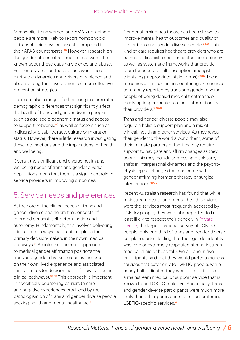Meanwhile, trans women and AMAB non-binary people are more likely to report homophobic or transphobic physical assault compared to their AFAB counterparts.<sup>59</sup> However, research on the gender of perpetrators is limited, with little known about those causing violence and abuse. Further research on these issues would help clarify the dynamics and drivers of violence and abuse, aiding the development of more effective prevention strategies.

There are also a range of other non-gender-related demographic differences that significantly affect the health of trans and gender diverse people, such as age, socio-economic status and access to support networks, $60$  as well as factors such as Indigeneity, disability, race, culture or migration status. However, there is little research investigating these intersections and the implications for health and wellbeing.

Overall, the significant and diverse health and wellbeing needs of trans and gender diverse populations mean that there is a significant role for service providers in improving outcomes.

### 5. Service needs and preferences

At the core of the clinical needs of trans and gender diverse people are the concepts of informed consent, self-determination and autonomy. Fundamentally, this involves delivering clinical care in ways that treat people as the primary decision-makers in their own medical pathways.<sup>61</sup> An informed consent approach to medical gender affirmation positions the trans and gender diverse person as the expert on their own lived experience and associated clinical needs (or decision not to follow particular clinical pathways).<sup>62,63</sup> This approach is important in specifically countering barriers to care and negative experiences produced by the pathologisation of trans and gender diverse people seeking health and mental healthcare.<sup>6</sup>

Gender affirming healthcare has been shown to improve mental health outcomes and quality of life for trans and gender diverse people.<sup>64,65</sup> This kind of care requires healthcare providers who are trained for linguistic and conceptual competency, as well as systematic frameworks that provide room for accurate self-description amongst clients (e.g. appropriate intake forms).<sup>66,67</sup> These measures are important in countering experiences commonly reported by trans and gender diverse people of being denied medical treatments or receiving inappropriate care and information by their providers.<sup>3,48,68</sup>

Trans and gender diverse people may also require a holistic support plan and a mix of clinical, health and other services. As they reveal their gender to the world around them, some of their intimate partners or families may require support to navigate and affirm changes as they occur. This may include addressing disclosure, shifts in interpersonal dynamics and the psychophysiological changes that can come with gender affirming hormone therapy or surgical interventions.<sup>69,70</sup>

Recent Australian research has found that while mainstream health and mental health services were the services most frequently accessed by LGBTIQ people, they were also reported to be least likely to respect their gender. In Private Lives 3, the largest national survey of LGBTIQ people, only one third of trans and gender diverse people reported feeling that their gender identity was very or extremely respected at a mainstream medical clinic or hospital. Overall, one in five participants said that they would prefer to access services that cater only to LGBTIQ people, while nearly half indicated they would prefer to access a mainstream medical or support service that is known to be LGBTIQ-inclusive. Specifically, trans and gender diverse participants were much more likely than other participants to report preferring LGBTIQ-specific services.4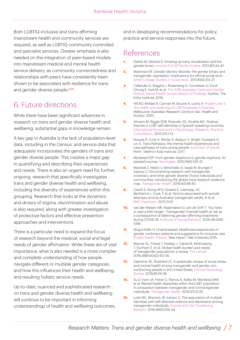Both LGBTIQ-inclusive and trans-affirming mainstream health and community services are required, as well as LGBTIQ community-controlled and specialist services. Greater emphasis is also needed on the integration of peer-based models into mainstream medical and mental health service delivery, as community connectedness and relationships with peers have consistently been shown to be associated with resilience for trans and gender diverse people.<sup>6,60</sup>

## 6. Future directions

While there have been significant advances in research on trans and gender diverse health and wellbeing, substantial gaps in knowledge remain.

A key gap in Australia is the lack of population-level data, including in the Census, and service data that adequately incorporates the genders of trans and gender diverse people. This creates a major gap in quantifying and describing their experiences and needs. There is also an urgent need for further, ongoing, research that specifically investigates trans and gender diverse health and wellbeing, including the diversity of experiences within this grouping. Research that looks at the dynamics and drivers of stigma, discrimination and abuse is also required, along with greater investigation of protective factors and effective prevention approaches and interventions.

There is a particular need to expand the focus of research beyond the medical, social and legal needs of gender affirmation. While these are of vital importance, what is also needed is a more complex and complete understanding of how people navigate different or multiple gender categories, and how this influences their health and wellbeing, and resulting holistic service needs.

Up-to-date, nuanced and sophisticated research on trans and gender diverse health and wellbeing will continue to be important in informing understandings of health and wellbeing outcomes, and in developing recommendations for policy, practice and service responses into the future.

#### References

- **1.** Dietert M, Dentice D. Growing up trans: Socialization and the [gender binary. Journal of GLBT Family Studies. 2013;9\(1\):24-42.](https://doi.org/10.1080/1550428X.2013.746053)
- **2.** [Markman ER. Gender identity disorder, the gender binary and](https://doi.org/10.1080/00377317.2011.616839) transgender oppression: Implications for ethical social work. Smith College Studies in Social Work. 2011;81(4):314-27.
- **3.** Callander D, Wiggins J, Rosenberg S, Cornelisse VJ, Duck-Chong E, Holt M, et al. The 2018 Australian Trans and Gender [Diverse Sexual Health Survey: Report of Findings. Sydney: The](https://kirby.unsw.edu.au/sites/default/files/kirby/report/ATGD-Sexual-Health-Survey-Report_2018.pdf) Kirby Institute; 2019.
- **4.** [Hill AO, McNair R, Carman M, Bourne A, Lyons A. Private Lives 3:](https://www.latrobe.edu.au/arcshs/publications/private-lives/private-lives-3) The health and wellbeing of LGBTIQ people in Australia. Melbourne: Australian Research Centre in Sex, Health and Society; 2020.
- **5.** Almario M, Riggle EDB, Rostosky SS, Alcalde MC. Positive [themes in LGBT self-identities in Spanish-speaking countries.](https://doi.org/10.1037/a0031055) International Perspectives in Psychology: Research, Practice, Consultation. 2013;2(1):1-13.
- **6.** Strauss P, Cook A, Winter S, Watson V, Wright Toussaint D, Lin A. Trans Pathways: the mental health experiences and [care pathways of trans young people. Summary of results.](https://www.telethonkids.org.au/projects/past/trans-pathways/) Perth: Telethon Kids Institute; 2017.
- **7.** [Benestad EEP. From gender dysphoria to gender euphoria: An](https://doi.org/10.1016/j.sexol.2010.09.003) assisted journey. Sexologies. 2010;19(4):225-31.
- **8.** Marshall Z, Welch V, Minichiello A, Swab M, Brunger F, Kaposy C. Documenting research with transgender, nonbinary, and other gender diverse (Trans) individuals and [communities: introducing the global trans research evidence](https://doi.org/10.1089/trgh.2018.0020) map. Transgender Health. 2019;4(1):68-80.
- **9.** Zwickl S, Wong AFQ, Dowers E, Leemaqz, SY, [Bertherton I, Cook T, et al. Factors associated with suicide](https://doi.org/10.1186/s12888-021-03084-7) attempts among Australian transgender adults. kl et al. BMC Psychiatry. 2021;21:81.
- **10.** van der Miesen AIR, Raaijmakers D, van de Grift T. 'You have to wait a little longer': Transgender (mental) health at risk as a consequence of deferring gender-affirming treatments [during COVID-19. Archives of Sexual Behavior. 2020;49:1395–](https://doi.org/10.1007%2Fs10508-020-01754-3) 1399.
- **11.** Mogul-Adlin H. Unanticipated: Healthcare experiences of [gender nonbinary patients and suggestions for inclusive care](https://elischolar.library.yale.edu/ysphtdl/1197/) [Public Health Theses]. New Haven: Yale University;2015.
- **12.** [Reisner SL, Poteat T, Keatley J, Cabral M, Mothopeng](https://doi.org/10.1016/s0140-6736(16)00684-x) T, Dunham E, et al. Global health burden and needs of transgender populations: a review. The Lancet. 2016;388(10042):412-36.
- **13.** [Valentine SE, Shipherd JC. A systematic review of social stress](https://doi.org/10.1016/j.cpr.2018.03.003) and mental health among transgender and gender nonconforming people in the United States. Clinical Psychology Review. 2018;66:24-38.
- **14.** Su D, Irwin JA, Fisher C, Ramos A, Kelley M, Mendoza DAR, [et al. Mental health disparities within the LGBT population:](https://doi.org/10.1089/trgh.2015.0001) A comparison between transgender and nontransgender individuals. Transgender Health. 2016;1(1):12-20.
- **15.** Lytle MC, Blosnich JR, Kamen C. The association of multiple [identities with self-directed violence and depression among](https://doi.org/10.1111%2Fsltb.12234) transgender individuals. Suicide and Life-Threatening Behavior. 2016;46(5):535-44.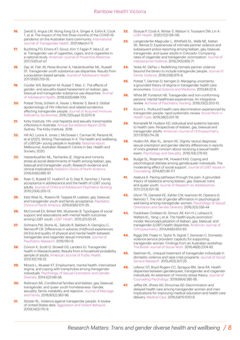- **16.** [Zwickl S, Angus LM, Wong Fang Qi A, Ginger A, Eshin K, Cook](https://doi.org/10.1080/26895269.2021.1890659)  T, et al. The impact of the first three months of the COVID-19 pandemic on the Australian trans community. International Journal of Transgender Health. 2021;March:1-11.
- **17.** Buchting FO, Emory KT, Scout, Kim Y, Fagan P, Vera LE, et [al. Transgender use of cigarettes, cigars, and e-cigarettes in](https://doi.org/10.1016/j.amepre.2016.11.022)  a national study. American Journal of Preventive Medicine. 2017;53(1):e1-e7.
- **18.** Day JK, Fish JN, Perez-Brumer A, Hatzenbuehler ML, Russell [ST. Transgender youth substance use disparities: Results from](https://doi.org/10.1016/j.jadohealth.2017.06.024)  a population-based sample. Journal of Adolescent Health. 2017;61(6):729-35.
- **19.** Coulter WS, Bersamin M, Russel T, Mair, C. The effects of gender- and sexuality-based harassment on lesbian, gay, [bisexual and transgender substance use disparities. Journal](https://doi.org/10.1016%2Fj.jadohealth.2017.10.004)  of Adolescent Health. 2018;62(6):688-700.
- **20.** Poteat Tonia, Scheim A, Xavier J, Reisner S, Baral S. Global epidemiology of HIV infection and related syndemics [affecting transgender people. Journal of Acquired Immune](https://doi.org/10.1097%2FQAI.0000000000001087)  Deficiency Syndromes. 2016;72(Suppl 3):S210-9.
- **21.** [Kirby Institute. HIV, viral hepatitis and sexually transmissible](https://kirby.unsw.edu.au/report/asr2018)  infections in Australia: Annual Surveillance Report 2018. Sydney: The Kirby Institute, 2018.
- **22.** Hill AO, Lyons A, Jones J, McGowan I, Carman M, Parsons M, [et al \(2021\). Writing Themselves In 4: The health and wellbeing](https://www.latrobe.edu.au/arcshs/publications/writing-themselves-in-publications/writing-themselves-in-4)  of LGBTQA+ young people in Australia. National report. Melbourne: Australian Research Centre in Sex, Health and Society; 2020.
- **23.** Hatzenbuehler ML, Pachankis JE. Stigma and minority [stress as social determinants of health among lesbian, gay,](https://doi.org/10.1016/j.pcl.2016.07.003)  bisexual and transgender youth: Research evidence and clinical implications. Pediatric Clinics of North America. 2016;63(6):985-97.
- **24.** Ryan C, Russell ST, Huebn17. er D, Diaz R, Sanchez J. Family acceptance in adolescence and the health of LGBT young [adults. Journal of Child and Adolescent Psychiatric Nursing.](https://doi.org/10.1111/j.1744-6171.2010.00246.x) 2010;23(4):205-13.
- **25.** [Katz-Wise SL, Rosario M, Tsappis M. Lesbian, gay, bisexual,](https://doi.org/10.1016%2Fj.pcl.2016.07.005)  and transgender youth and family acceptance. Paediatric Clinics of North America. 2016;63(6):1011-25.
- **26.** [McConnell EA, Birkett MA, Mustanski B. Typologies of social](https://doi.org/10.1089%2Flgbt.2014.0051)  support and associations with mental health outcomes among LGBT youth. LGBT Health. 2015;2(1):55-61.
- **27.** Schnarrs PW, Stone AL, Salcido R, Baldwin A, Georgiou C, [Nemeroff CB. Differences in adverse childhood experiences](https://doi.org/10.1016/j.jpsychires.2019.09.001)  (ACEs) and quality of physical and mental health between transgender and cisgender sexual minorities. Journal of Psychiatric Research. 2019;119:1-6.
- 28. Conron K, Scott G, Stowell GS, Landers SJ, Transgender [health in Massachusetts: Results from a household probability](https://doi.org/10.2105%2FAJPH.2011.300315)  sample of adults. American Journal of Public Health. 2012;102:118-22.
- **29.** [Mizock L, Mueser KT. Employment, mental health, internalized](https://doi.org/10.1037/sgd0000029)  stigma, and coping with transphobia among transgender individuals. Psychology of Sexual Orientation and Gender Diversity. 2014;1(2):146-58.
- **30.** Robinson BA. Conditional families and lesbian, gay, bisexual, transgender, and queer youth homelessness: Gender, [sexuality, family instability, and rejection. Journal of Marriage](https://doi.org/10.1111/jomf.12466)  and Family. 2018;80(2):383-96.
- **31.** Stotzer RL. Violence against transgender people: A review of United States data. Aggression and Violent Behavior. 2009;14(3):170-9.
- **32.** [Strauss P, Cook A, Winter S, Watson V, Toussaint DW, Lin A.](https://doi.org/10.1177%2F0004867420972766)  LGBT Health. 2020;7(3):128-136.
- **33.** Langenderfer-Magruder L, Whitfield DL, Walls NE, Kattari SK, Ramos D. Experiences of intimate partner violence and subsequent police reporting among lesbian, gay, bisexual, transgender, and queer adults in Colorado: Comparing [rates of cisgender and transgender victimization. Journal of](https://doi.org/10.1177/0886260514556767)  Interpersonal Violence. 2016;31(5):855-71.
- **34.** Yerke AF, DeFeo J. Redefining intimate partner violence [beyond the binary to include transgender people. Journal of](https://doi.org/10.1007/s10896-016-9887-y)  Family Violence. 2016;31(8):975-9.
- **35.** Poteat T, German D, Kerrigan D. Managing uncertainty: [a grounded theory of stigma in transgender health care](https://doi.org/10.1016/j.socscimed.2013.02.019)  encounters. Social Science and Medicine. 2013;84:22-9.
- **36.** [White BP, Fontenot HB. Transgender and non-conforming](https://doi.org/10.1016/j.apnu.2019.01.005)  persons' mental healthcare experiences: An integrative review. Archives of Psychiatric Nursing. 2019;33(2):203-10.
- **37.** Kcomt L. Profound health-care discrimination experienced by transgender people: rapid systematic review. Social Work in Health Care. 2019;58(2):201-19.
- **38.** Romanelli M, Hudson KD. Individual and systemic barriers to health care: Perspectives of lesbian, gay, bisexual and transgender adults. American Journal of Orthopsychiatry. 2017;87(6):714-28.
- **39.** Hoskin RA, Blair KL, Jenson KE. Dignity versus diagnosis: [sexual orientation and gender identity differences in reports](https://doi.org/10.1080/19419899.2016.1236745)  of one's greatest concern about receiving a sexual health exam. Psychology and Sexuality. 2016;7(4):279-93.
- **40.** Budge SL, Rossman HK, Howard KAS. Coping and psychological distress among genderqueer individuals: The [moderating effect of social support. Journal of LGBT Issues in](https://doi.org/10.1080/15538605.2014.853641)  Counseling. 2014;8(1):95-117.
- **41.** Asakura K. Paving pathways through the pain: A grounded theory of resilience among lesbian, gay, bisexual, trans and queer youth. Journal of Research on Adolescence. 2017;27(3):521-36.
- **42.** Glynn TR, Gamarel KE, Kahler CW, Iwamoto M, Operario D, Nemoto T. The role of gender affirmation in psychological [well-being among transgender women. Psychology of Sexual](https://doi.org/10.1037/sgd0000171)  Orientation and Gender Diversity. 2016;3(3):336-44.
- **43.** Fredriksen-Goldsen KI, Simoni JM, Kim H-J, Lehavot K, Walters KL, Yang J, et al. The health equity promotion model: Reconceptualization of lesbian, gay, bisexual, and [transgender \(LGBT\) health disparities. American Journal of](https://doi.org/10.1037%2Fort0000030)  Orthopsychiatry. 2014;84(6):653-63.
- **44.** Riggs DW, Fraser H, Taylor N, Signal T, Donovan C. Domestic violence service providers' capacity for supporting [transgender women: Findings from an Australian workshop.](http://dx.doi.org/10.1093/bjsw/bcw110)  The British Journal of Social Work. 2016;46(8):2374-92.
- **45.** Seelman KL. Unequal treatment of transgender individuals in [domestic violence and rape crisis programs. Journal of Social](https://scholarworks.gsu.edu/cgi/viewcontent.cgi?article=1060&context=ssw_facpub)  Service Research. 2015;41(3):307-25.
- **46.** Lefevor GT, Boyd-Rogers CC, Sprague BM, Janis RA. Health [disparities between genderqueer, transgender and cisgender](https://doi.org/10.1037/cou0000339)  individuals: An extension of minority stress theory. Journal of Counseling Psychology. 2019;66(4):385-95.
- **47.** Jaffee DK, Shires AD, Stroumsa AD. Discrimination and delayed health care among transgender women and men: [Implications for improving medical education and health care](https://doi.org/10.1097/mlr.0000000000000583)  delivery. Medical Care. 2016;54(11):1010-6.